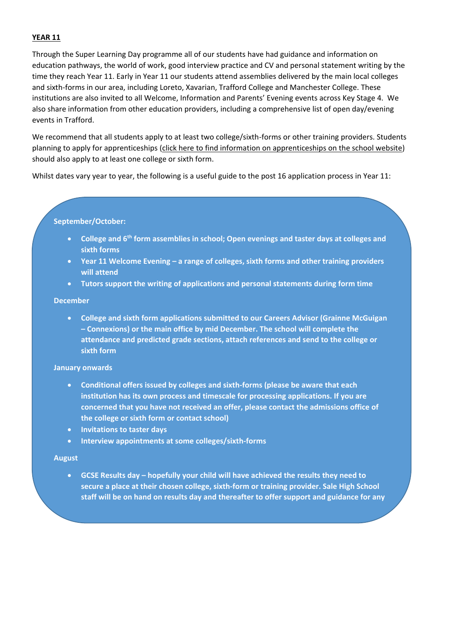## **YEAR 11**

Through the Super Learning Day programme all of our students have had guidance and information on education pathways, the world of work, good interview practice and CV and personal statement writing by the time they reach Year 11. Early in Year 11 our students attend assemblies delivered by the main local colleges and sixth-forms in our area, including Loreto, Xavarian, Trafford College and Manchester College. These institutions are also invited to all Welcome, Information and Parents' Evening events across Key Stage 4. We also share information from other education providers, including a comprehensive list of open day/evening events in Trafford.

We recommend that all students apply to at least two college/sixth-forms or other training providers. Students planning to apply for apprenticeships (click here to find information on apprenticeships on the school website) should also apply to at least one college or sixth form.

Whilst dates vary year to year, the following is a useful guide to the post 16 application process in Year 11:

### **September/October:**

- **College and 6th form assemblies in school; Open evenings and taster days at colleges and sixth forms**
- **Year 11 Welcome Evening – a range of colleges, sixth forms and other training providers will attend**
- **Tutors support the writing of applications and personal statements during form time**

#### **December**

 **College and sixth form applications submitted to our Careers Advisor (Grainne McGuigan – Connexions) or the main office by mid December. The school will complete the attendance and predicted grade sections, attach references and send to the college or sixth form** 

### **January onwards**

- **Conditional offers issued by colleges and sixth-forms (please be aware that each institution has its own process and timescale for processing applications. If you are concerned that you have not received an offer, please contact the admissions office of the college or sixth form or contact school)**
- **Invitations to taster days**
- **Interview appointments at some colleges/sixth-forms**

#### **August**

 **GCSE Results day – hopefully your child will have achieved the results they need to secure a place at their chosen college, sixth-form or training provider. Sale High School staff will be on hand on results day and thereafter to offer support and guidance for any**